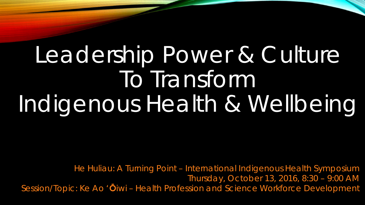# Leadership Power & Culture To Transform Indigenous Health & Wellbeing

He Huliau: A Turning Point – International Indigenous Health Symposium Thursday, October 13, 2016, 8:30 – 9:00 AM Session/Topic: Ke Ao '**Ō**iwi – Health Profession and Science Workforce Development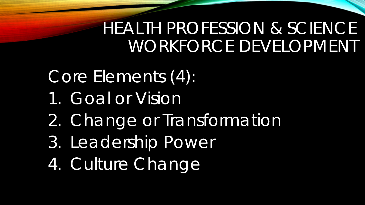# HEALTH PROFESSION & SCIENCE WORKFORCE DEVELOPMENT

- Core Elements (4):
- 1. Goal or Vision
- 2. Change or Transformation
- 3. Leadership Power
- 4. Culture Change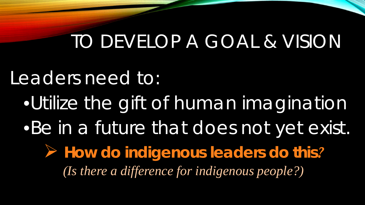# TO DEVELOP A GOAL & VISION

## Leaders need to:

•Utilize the gift of human imagination •Be in a future that does not yet exist.

 *How do indigenous leaders do this? (Is there a difference for indigenous people?)*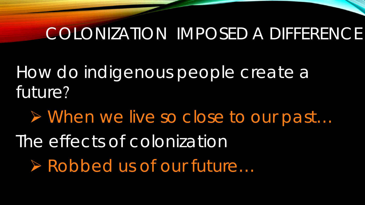#### COLONIZATION IMPOSED A DIFFERENCE

How do indigenous people create a future?

 When we live so close to our past… The effects of colonization Robbed us of our future…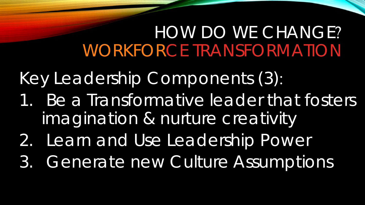## HOW DO WE CHANGE? WORKFORCE TRANSFORMATION

Key Leadership Components (3):

- 1. Be a Transformative leader that fosters imagination & nurture creativity
- 2. Learn and Use Leadership Power
- 3. Generate new Culture Assumptions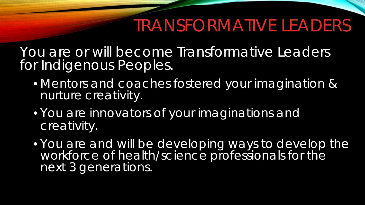## TRANSFORMATIVE LEADERS

You are or will become Transformative Leaders for Indigenous Peoples.

- Mentors and coaches fostered your imagination & nurture creativity.
- You are innovators of your imaginations and creativity.
- You are and will be developing ways to develop the workforce of health/science professionals for the next 3 generations.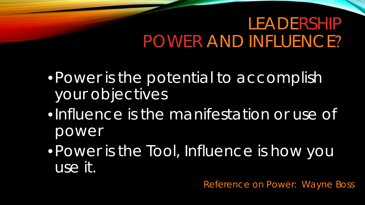#### LEADERSHIP POWER AND INFLUENCE?

•Power is the potential to accomplish your objectives

- •Influence is the manifestation or use of power
- •Power is the Tool, Influence is how you use it.

*Reference on Power: Wayne Boss*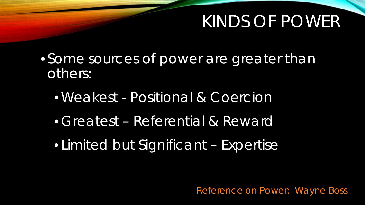#### KINDS OF POWER

- Some sources of power are greater than others:
	- •Weakest Positional & Coercion
	- Greatest Referential & Reward
	- Limited but Significant Expertise

*Reference on Power: Wayne Boss*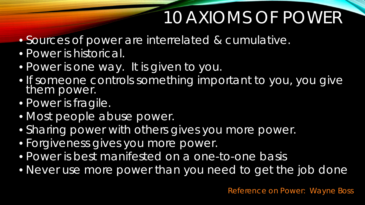# 10 AXIOMS OF POWER

- Sources of power are interrelated & cumulative.
- Power is historical.
- Power is one way. It is given to you.
- If someone controls something important to you, you give them power.
- Power is fragile.
- Most people abuse power.
- Sharing power with others gives you more power.
- Forgiveness gives you more power.
- Power is best manifested on a one-to-one basis
- Never use more power than you need to get the job done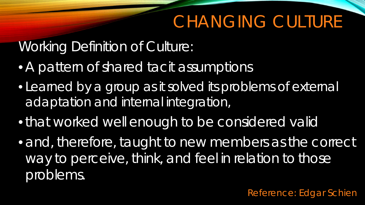## CHANGING CULTURE

#### Working Definition of Culture:

- A pattern of shared tacit assumptions
- Learned by a group as it solved its problems of external adaptation and internal integration,
- •that worked well enough to be considered valid
- and, therefore, taught to new members as the correct way to perceive, think, and feel in relation to those problems.

*Reference: Edgar Schien*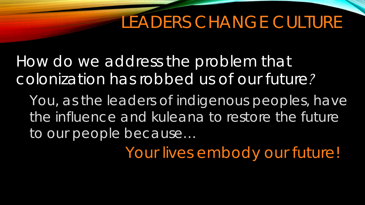# LEADERS CHANGE CULTURE

*How do we address the problem that colonization has robbed us of our future?*

You, as the leaders of indigenous peoples, have the influence and kuleana to restore the future to our people because…

*Your lives embody our future!*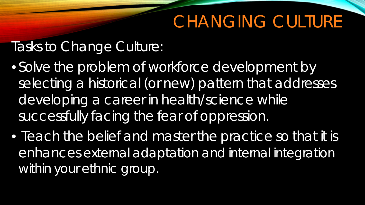# CHANGING CULTURE

#### Tasks to Change Culture:

- Solve the problem of workforce development by selecting a historical (or new) pattern that addresses developing a career in health/science while successfully facing the fear of oppression.
- Teach the belief and master the practice so that it is enhances external adaptation and internal integration within your ethnic group.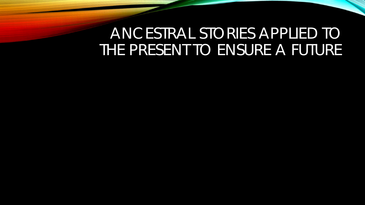#### ANCESTRAL STORIES APPLIED TO THE PRESENT TO ENSURE A FUTURE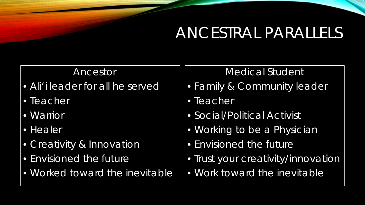#### ANCESTRAL PARALLELS

#### Ancestor

- Ali'i leader for all he served
- Teacher
- Warrior
- Healer
- Creativity & Innovation
- Envisioned the future
- Worked toward the inevitable

#### Medical Student

- Family & Community leader
- Teacher
- Social/Political Activist
- Working to be a Physician
- Envisioned the future
- Trust your creativity/innovation
- Work toward the inevitable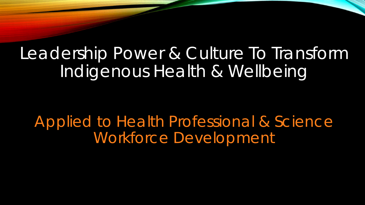# Leadership Power & Culture To Transform Indigenous Health & Wellbeing

*Applied to Health Professional & Science Workforce Development*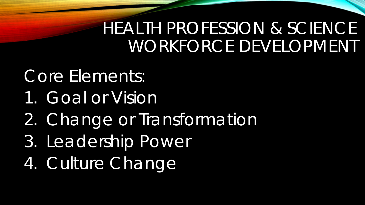# HEALTH PROFESSION & SCIENCE WORKFORCE DEVELOPMENT

#### Core Elements:

- 1. Goal or Vision
- 2. Change or Transformation
- 3. Leadership Power
- 4. Culture Change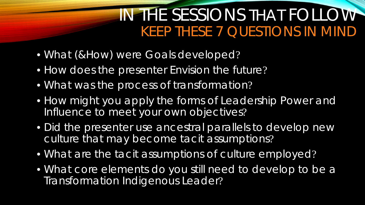#### IN THE SESSIONS THAT FOLLOW *KEEP THESE 7 QUESTIONS IN MIND*

- What (&How) were Goals developed?
- How does the presenter Envision the future?
- What was the process of transformation?
- How might you apply the forms of Leadership Power and Influence to meet your own objectives?
- Did the presenter use ancestral parallels to develop new culture that may become tacit assumptions?
- What are the tacit assumptions of culture employed?
- What core elements do you still need to develop to be a Transformation Indigenous Leader?